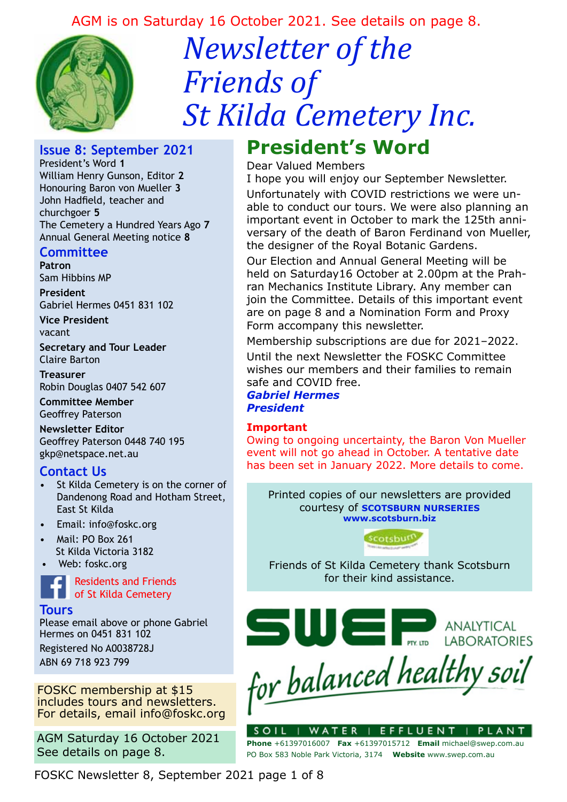### AGM is on Saturday 16 October 2021. See details on page 8.



# *Newsletter of the Friends of St Kilda Cemetery Inc.*

#### **Issue 8: September 2021**

President's Word **1** William Henry Gunson, Editor **2** Honouring Baron von Mueller **3** John Hadfield, teacher and churchgoer **5** The Cemetery a Hundred Years Ago **7** Annual General Meeting notice **8**

#### **Committee**

**Patron**  Sam Hibbins MP

**President** Gabriel Hermes 0451 831 102

**Vice President** vacant

**Secretary and Tour Leader** Claire Barton

**Treasurer** Robin Douglas 0407 542 607

**Committee Member** Geoffrey Paterson

**Newsletter Editor** Geoffrey Paterson 0448 740 195 gkp@netspace.net.au

#### **Contact Us**

- St Kilda Cemetery is on the corner of Dandenong Road and Hotham Street, East St Kilda
- Email: info@foskc.org
- Mail: PO Box 261 St Kilda Victoria 3182
- Web: foskc.org



#### **Tours**

Please email above or phone Gabriel Hermes on 0451 831 102 Registered No A0038728J ABN 69 718 923 799

FOSKC membership at \$15 includes tours and newsletters. For details, email info@foskc.org

AGM Saturday 16 October 2021 See details on page 8.

## **President's Word**

#### Dear Valued Members

I hope you will enjoy our September Newsletter. Unfortunately with COVID restrictions we were unable to conduct our tours. We were also planning an important event in October to mark the 125th anniversary of the death of Baron Ferdinand von Mueller, the designer of the Royal Botanic Gardens.

Our Election and Annual General Meeting will be held on Saturday16 October at 2.00pm at the Prahran Mechanics Institute Library. Any member can join the Committee. Details of this important event are on page 8 and a Nomination Form and Proxy Form accompany this newsletter.

Membership subscriptions are due for 2021–2022.

Until the next Newsletter the FOSKC Committee wishes our members and their families to remain safe and COVID free.

*Gabriel Hermes President*

#### **Important**

Owing to ongoing uncertainty, the Baron Von Mueller event will not go ahead in October. A tentative date has been set in January 2022. More details to come.

Printed copies of our newsletters are provided courtesy of **SCOTSBURN NURSERIES www.scotsburn.biz**



Friends of St Kilda Cemetery thank Scotsburn for their kind assistance.



| WATER | EFFLUENT **Phone** +61397016007 **Fax** +61397015712 **Email** michael@swep.com.au PO Box 583 Noble Park Victoria, 3174 **Website** www.swep.com.au

FOSKC Newsletter 8, September 2021 page 1 of 8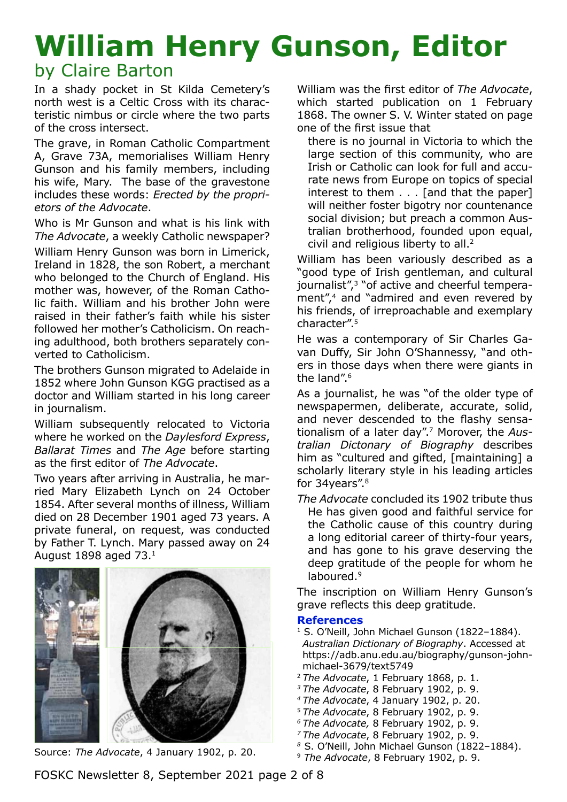## **William Henry Gunson, Editor** by Claire Barton

In a shady pocket in St Kilda Cemetery's north west is a Celtic Cross with its characteristic nimbus or circle where the two parts of the cross intersect.

The grave, in Roman Catholic Compartment A, Grave 73A, memorialises William Henry Gunson and his family members, including his wife, Mary. The base of the gravestone includes these words: *Erected by the proprietors of the Advocate*.

Who is Mr Gunson and what is his link with *The Advocate*, a weekly Catholic newspaper?

William Henry Gunson was born in Limerick, Ireland in 1828, the son Robert, a merchant who belonged to the Church of England. His mother was, however, of the Roman Catholic faith. William and his brother John were raised in their father's faith while his sister followed her mother's Catholicism. On reaching adulthood, both brothers separately converted to Catholicism.

The brothers Gunson migrated to Adelaide in 1852 where John Gunson KGG practised as a doctor and William started in his long career in journalism.

William subsequently relocated to Victoria where he worked on the *Daylesford Express*, *Ballarat Times* and *The Age* before starting as the first editor of *The Advocate*.

Two years after arriving in Australia, he married Mary Elizabeth Lynch on 24 October 1854. After several months of illness, William died on 28 December 1901 aged 73 years. A private funeral, on request, was conducted by Father T. Lynch. Mary passed away on 24 August 1898 aged 73.1



<sup>9</sup> *The Advocate*, 8 February 1902, p. 9. Source: *The Advocate*, 4 January 1902, p. 20.

William was the first editor of *The Advocate*, which started publication on 1 February 1868. The owner S. V. Winter stated on page one of the first issue that

there is no journal in Victoria to which the large section of this community, who are Irish or Catholic can look for full and accurate news from Europe on topics of special interest to them . . . [and that the paper] will neither foster bigotry nor countenance social division; but preach a common Australian brotherhood, founded upon equal, civil and religious liberty to all.2

William has been variously described as a "good type of Irish gentleman, and cultural journalist",3 "of active and cheerful temperament",<sup>4</sup> and "admired and even revered by his friends, of irreproachable and exemplary character".5

He was a contemporary of Sir Charles Gavan Duffy, Sir John O'Shannessy, "and others in those days when there were giants in the land".<sup>6</sup>

As a journalist, he was "of the older type of newspapermen, deliberate, accurate, solid, and never descended to the flashy sensationalism of a later day".7 Morover, the *Australian Dictonary of Biography* describes him as "cultured and gifted, [maintaining] a scholarly literary style in his leading articles for 34years".<sup>8</sup>

*The Advocate* concluded its 1902 tribute thus He has given good and faithful service for the Catholic cause of this country during a long editorial career of thirty-four years, and has gone to his grave deserving the deep gratitude of the people for whom he laboured.<sup>9</sup>

The inscription on William Henry Gunson's grave reflects this deep gratitude.

#### **References**

- <sup>1</sup> S. O'Neill, John Michael Gunson (1822-1884). *Australian Dictionary of Biography*. Accessed at https://adb.anu.edu.au/biography/gunson-johnmichael-3679/text5749
- <sup>2</sup>*The Advocate*, 1 February 1868, p. 1.
- *3 The Advocate*, 8 February 1902, p. 9.
- *4 The Advocate*, 4 January 1902, p. 20.
- <sup>5</sup>*The Advocate*, 8 February 1902, p. 9.
- *6 The Advocate,* 8 February 1902, p. 9.
- *7 The Advocate*, 8 February 1902, p. 9.
- *<sup>8</sup>*S. O'Neill, John Michael Gunson (1822–1884).
- 

FOSKC Newsletter 8, September 2021 page 2 of 8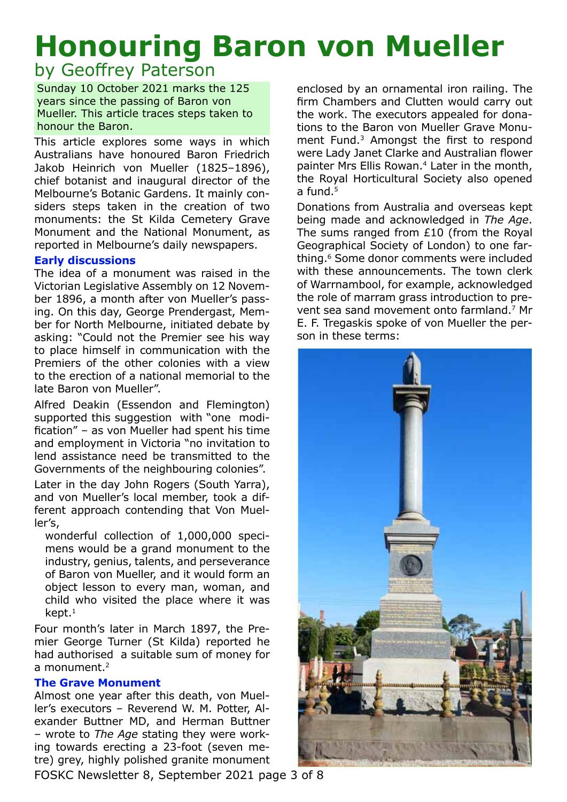# **Honouring Baron von Mueller**

### by Geoffrey Paterson

Sunday 10 October 2021 marks the 125 years since the passing of Baron von Mueller. This article traces steps taken to honour the Baron.

This article explores some ways in which Australians have honoured Baron Friedrich Jakob Heinrich von Mueller (1825–1896), chief botanist and inaugural director of the Melbourne's Botanic Gardens. It mainly considers steps taken in the creation of two monuments: the St Kilda Cemetery Grave Monument and the National Monument, as reported in Melbourne's daily newspapers.

#### **Early discussions**

The idea of a monument was raised in the Victorian Legislative Assembly on 12 November 1896, a month after von Mueller's passing. On this day, George Prendergast, Member for North Melbourne, initiated debate by asking: "Could not the Premier see his way to place himself in communication with the Premiers of the other colonies with a view to the erection of a national memorial to the late Baron von Mueller".

Alfred Deakin (Essendon and Flemington) supported this suggestion with "one modification" – as von Mueller had spent his time and employment in Victoria "no invitation to lend assistance need be transmitted to the Governments of the neighbouring colonies".

Later in the day John Rogers (South Yarra), and von Mueller's local member, took a different approach contending that Von Mueller's,

wonderful collection of 1,000,000 specimens would be a grand monument to the industry, genius, talents, and perseverance of Baron von Mueller, and it would form an object lesson to every man, woman, and child who visited the place where it was  $k$ ept. $1$ 

Four month's later in March 1897, the Premier George Turner (St Kilda) reported he had authorised a suitable sum of money for a monument.<sup>2</sup>

#### **The Grave Monument**

Almost one year after this death, von Mueller's executors – Reverend W. M. Potter, Alexander Buttner MD, and Herman Buttner – wrote to *The Age* stating they were working towards erecting a 23-foot (seven metre) grey, highly polished granite monument enclosed by an ornamental iron railing. The firm Chambers and Clutten would carry out the work. The executors appealed for donations to the Baron von Mueller Grave Monument Fund.3 Amongst the first to respond were Lady Janet Clarke and Australian flower painter Mrs Ellis Rowan.<sup>4</sup> Later in the month, the Royal Horticultural Society also opened a fund.<sup>5</sup>

Donations from Australia and overseas kept being made and acknowledged in *The Age*. The sums ranged from £10 (from the Royal Geographical Society of London) to one farthing.6 Some donor comments were included with these announcements. The town clerk of Warrnambool, for example, acknowledged the role of marram grass introduction to prevent sea sand movement onto farmland.7 Mr E. F. Tregaskis spoke of von Mueller the person in these terms:



FOSKC Newsletter 8, September 2021 page 3 of 8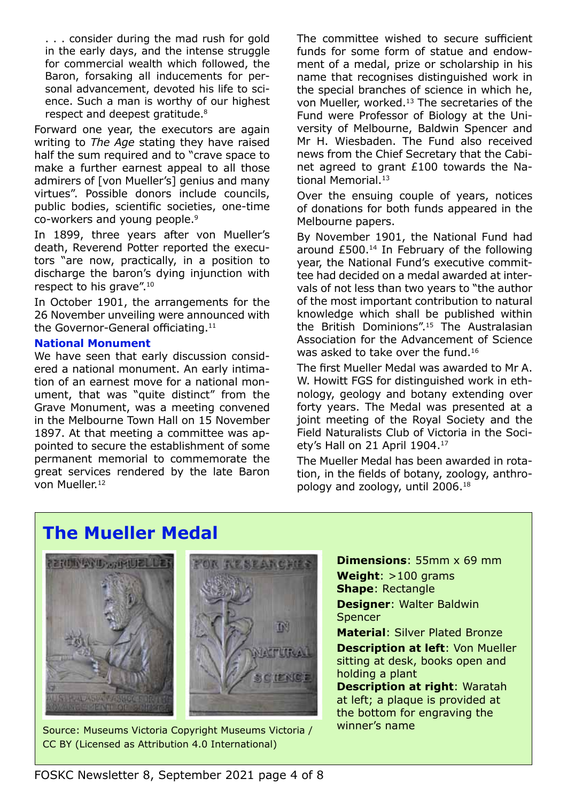. . . consider during the mad rush for gold in the early days, and the intense struggle for commercial wealth which followed, the Baron, forsaking all inducements for personal advancement, devoted his life to science. Such a man is worthy of our highest respect and deepest gratitude.<sup>8</sup>

Forward one year, the executors are again writing to *The Age* stating they have raised half the sum required and to "crave space to make a further earnest appeal to all those admirers of [von Mueller's] genius and many virtues". Possible donors include councils, public bodies, scientific societies, one-time co-workers and young people.9

In 1899, three years after von Mueller's death, Reverend Potter reported the executors "are now, practically, in a position to discharge the baron's dying injunction with respect to his grave".10

In October 1901, the arrangements for the 26 November unveiling were announced with the Governor-General officiating.<sup>11</sup>

#### **National Monument**

We have seen that early discussion considered a national monument. An early intimation of an earnest move for a national monument, that was "quite distinct" from the Grave Monument, was a meeting convened in the Melbourne Town Hall on 15 November 1897. At that meeting a committee was appointed to secure the establishment of some permanent memorial to commemorate the great services rendered by the late Baron von Mueller.12

The committee wished to secure sufficient funds for some form of statue and endowment of a medal, prize or scholarship in his name that recognises distinguished work in the special branches of science in which he, von Mueller, worked.13 The secretaries of the Fund were Professor of Biology at the University of Melbourne, Baldwin Spencer and Mr H. Wiesbaden. The Fund also received news from the Chief Secretary that the Cabinet agreed to grant £100 towards the National Memorial.<sup>13</sup>

Over the ensuing couple of years, notices of donations for both funds appeared in the Melbourne papers.

By November 1901, the National Fund had around £500.14 In February of the following year, the National Fund's executive committee had decided on a medal awarded at intervals of not less than two years to "the author of the most important contribution to natural knowledge which shall be published within the British Dominions".15 The Australasian Association for the Advancement of Science was asked to take over the fund.<sup>16</sup>

The first Mueller Medal was awarded to Mr A. W. Howitt FGS for distinguished work in ethnology, geology and botany extending over forty years. The Medal was presented at a joint meeting of the Royal Society and the Field Naturalists Club of Victoria in the Society's Hall on 21 April 1904.17

The Mueller Medal has been awarded in rotation, in the fields of botany, zoology, anthropology and zoology, until 2006.18

## **The Mueller Medal**



Source: Museums Victoria Copyright Museums Victoria / Winner's name CC BY (Licensed as Attribution 4.0 International)

**Dimensions**: 55mm x 69 mm **Weight**: >100 grams **Shape**: Rectangle **Designer**: Walter Baldwin Spencer **Material**: Silver Plated Bronze

**Description at left**: Von Mueller sitting at desk, books open and holding a plant **Description at right**: Waratah at left; a plaque is provided at the bottom for engraving the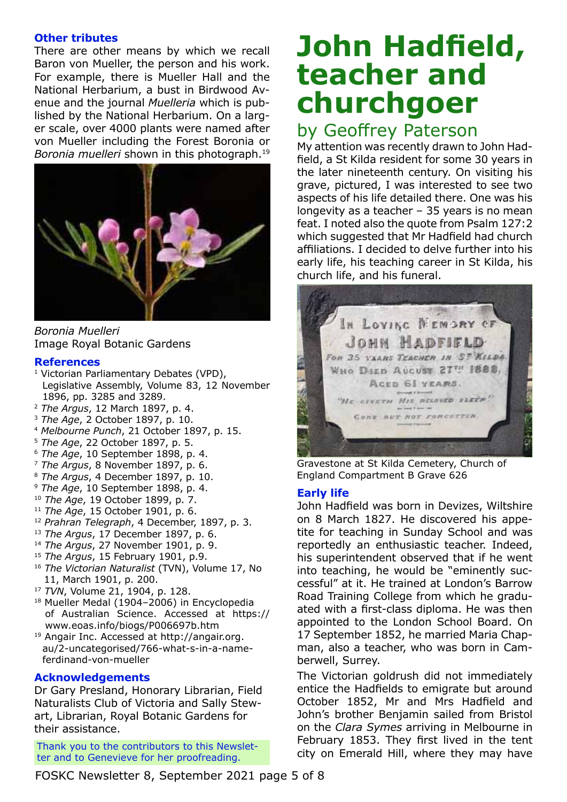#### **Other tributes**

There are other means by which we recall Baron von Mueller, the person and his work. For example, there is Mueller Hall and the National Herbarium, a bust in Birdwood Avenue and the journal *Muelleria* which is published by the National Herbarium. On a larger scale, over 4000 plants were named after von Mueller including the Forest Boronia or *Boronia muelleri* shown in this photograph.19



*Boronia Muelleri*  Image Royal Botanic Gardens

#### **References**

- <sup>1</sup> Victorian Parliamentary Debates (VPD), Legislative Assembly, Volume 83, 12 November 1896, pp. 3285 and 3289.
- <sup>2</sup> *The Argus*, 12 March 1897, p. 4.
- <sup>3</sup> *The Age*, 2 October 1897, p. 10.
- <sup>4</sup> *Melbourne Punch*, 21 October 1897, p. 15.
- <sup>5</sup> *The Age*, 22 October 1897, p. 5.
- <sup>6</sup> *The Age*, 10 September 1898, p. 4.
- <sup>7</sup> *The Argus*, 8 November 1897, p. 6.
- <sup>8</sup> *The Argus*, 4 December 1897, p. 10.
- <sup>9</sup> *The Age*, 10 September 1898, p. 4.
- <sup>10</sup> *The Age*, 19 October 1899, p. 7.
- <sup>11</sup> *The Age*, 15 October 1901, p. 6.
- <sup>12</sup> *Prahran Telegraph*, 4 December, 1897, p. 3.
- <sup>13</sup> *The Argus*, 17 December 1897, p. 6.
- <sup>14</sup> *The Argus*, 27 November 1901, p. 9.
- <sup>15</sup> *The Argus*, 15 February 1901, p.9.
- <sup>16</sup> *The Victorian Naturalist* (TVN), Volume 17, No 11, March 1901, p. 200.
- <sup>17</sup> *TVN*, Volume 21, 1904, p. 128.
- 18 Mueller Medal (1904-2006) in Encyclopedia of Australian Science. Accessed at https:// www.eoas.info/biogs/P006697b.htm
- 19 Angair Inc. Accessed at http://angair.org. au/2-uncategorised/766-what-s-in-a-nameferdinand-von-mueller

#### **Acknowledgements**

Dr Gary Presland, Honorary Librarian, Field Naturalists Club of Victoria and Sally Stewart, Librarian, Royal Botanic Gardens for their assistance.

Thank you to the contributors to this Newsletter and to Genevieve for her proofreading.

## **John Hadfield, teacher and churchgoer**

### by Geoffrey Paterson

My attention was recently drawn to John Hadfield, a St Kilda resident for some 30 years in the later nineteenth century. On visiting his grave, pictured, I was interested to see two aspects of his life detailed there. One was his longevity as a teacher – 35 years is no mean feat. I noted also the quote from Psalm 127:2 which suggested that Mr Hadfield had church affiliations. I decided to delve further into his early life, his teaching career in St Kilda, his church life, and his funeral.



Gravestone at St Kilda Cemetery, Church of England Compartment B Grave 626

#### **Early life**

John Hadfield was born in Devizes, Wiltshire on 8 March 1827. He discovered his appetite for teaching in Sunday School and was reportedly an enthusiastic teacher. Indeed, his superintendent observed that if he went into teaching, he would be "eminently successful" at it. He trained at London's Barrow Road Training College from which he graduated with a first-class diploma. He was then appointed to the London School Board. On 17 September 1852, he married Maria Chapman, also a teacher, who was born in Camberwell, Surrey.

The Victorian goldrush did not immediately entice the Hadfields to emigrate but around October 1852, Mr and Mrs Hadfield and John's brother Benjamin sailed from Bristol on the *Clara Symes* arriving in Melbourne in February 1853. They first lived in the tent city on Emerald Hill, where they may have

FOSKC Newsletter 8, September 2021 page 5 of 8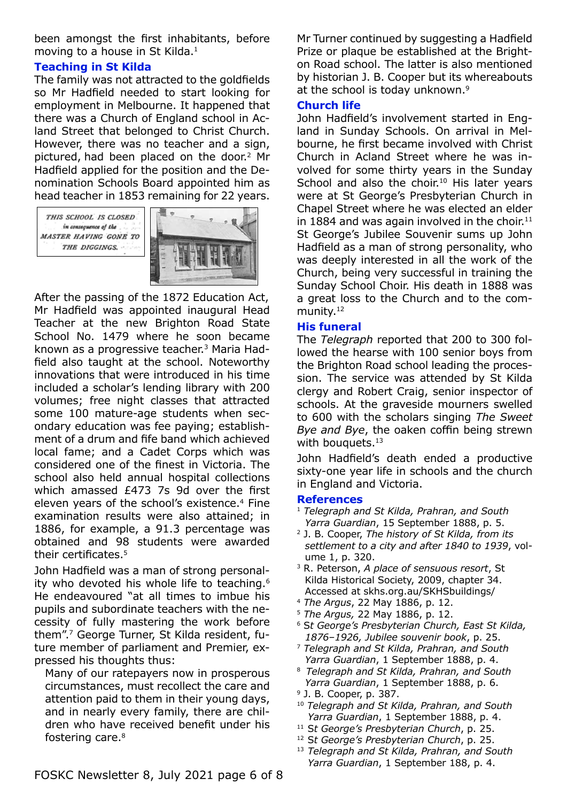been amongst the first inhabitants, before moving to a house in St Kilda.1

#### **Teaching in St Kilda**

The family was not attracted to the goldfields so Mr Hadfield needed to start looking for employment in Melbourne. It happened that there was a Church of England school in Acland Street that belonged to Christ Church. However, there was no teacher and a sign, pictured, had been placed on the door.2 Mr Hadfield applied for the position and the Denomination Schools Board appointed him as head teacher in 1853 remaining for 22 years.



After the passing of the 1872 Education Act, Mr Hadfield was appointed inaugural Head Teacher at the new Brighton Road State School No. 1479 where he soon became known as a progressive teacher.3 Maria Hadfield also taught at the school. Noteworthy innovations that were introduced in his time included a scholar's lending library with 200 volumes; free night classes that attracted some 100 mature-age students when secondary education was fee paying; establishment of a drum and fife band which achieved local fame; and a Cadet Corps which was considered one of the finest in Victoria. The school also held annual hospital collections which amassed £473 7s 9d over the first eleven years of the school's existence.<sup>4</sup> Fine examination results were also attained; in 1886, for example, a 91.3 percentage was obtained and 98 students were awarded their certificates.<sup>5</sup>

John Hadfield was a man of strong personality who devoted his whole life to teaching.6 He endeavoured "at all times to imbue his pupils and subordinate teachers with the necessity of fully mastering the work before them".7 George Turner, St Kilda resident, future member of parliament and Premier, expressed his thoughts thus:

Many of our ratepayers now in prosperous circumstances, must recollect the care and attention paid to them in their young days, and in nearly every family, there are children who have received benefit under his fostering care.8

Mr Turner continued by suggesting a Hadfield Prize or plaque be established at the Brighton Road school. The latter is also mentioned by historian J. B. Cooper but its whereabouts at the school is today unknown.<sup>9</sup>

#### **Church life**

John Hadfield's involvement started in England in Sunday Schools. On arrival in Melbourne, he first became involved with Christ Church in Acland Street where he was involved for some thirty years in the Sunday School and also the choir.<sup>10</sup> His later years were at St George's Presbyterian Church in Chapel Street where he was elected an elder in 1884 and was again involved in the choir. $11$ St George's Jubilee Souvenir sums up John Hadfield as a man of strong personality, who was deeply interested in all the work of the Church, being very successful in training the Sunday School Choir. His death in 1888 was a great loss to the Church and to the community.<sup>12</sup>

#### **His funeral**

The *Telegraph* reported that 200 to 300 followed the hearse with 100 senior boys from the Brighton Road school leading the procession. The service was attended by St Kilda clergy and Robert Craig, senior inspector of schools. At the graveside mourners swelled to 600 with the scholars singing *The Sweet Bye and Bye*, the oaken coffin being strewn with bouquets.<sup>13</sup>

John Hadfield's death ended a productive sixty-one year life in schools and the church in England and Victoria.

#### **References**

- <sup>1</sup> *Telegraph and St Kilda, Prahran, and South Yarra Guardian*, 15 September 1888, p. 5.
- 2 J. B. Cooper, *The history of St Kilda, from its settlement to a city and after 1840 to 1939*, volume 1, p. 320.
- 3 R. Peterson, *A place of sensuous resort*, St Kilda Historical Society, 2009, chapter 34. Accessed at skhs.org.au/SKHSbuildings/
- <sup>4</sup> *The Argus*, 22 May 1886, p. 12.
- <sup>5</sup> *The Argus,* 22 May 1886, p. 12.
- 6 S*t George's Presbyterian Church, East St Kilda, 1876*–*1926, Jubilee souvenir book*, p. 25.
- <sup>7</sup> *Telegraph and St Kilda, Prahran, and South Yarra Guardian*, 1 September 1888, p. 4.
- <sup>8</sup>*Telegraph and St Kilda, Prahran, and South Yarra Guardian*, 1 September 1888, p. 6.
- 9 J. B. Cooper, p. 387.
- <sup>10</sup> *Telegraph and St Kilda, Prahran, and South Yarra Guardian*, 1 September 1888, p. 4.
- 11 S*t George's Presbyterian Church*, p. 25.
- 12 S*t George's Presbyterian Church*, p. 25.
- <sup>13</sup>*Telegraph and St Kilda, Prahran, and South Yarra Guardian*, 1 September 188, p. 4.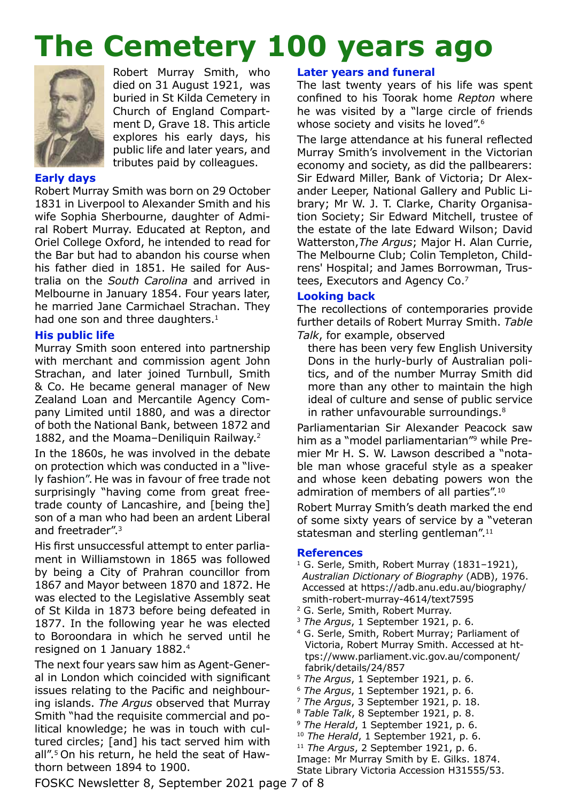## **The Cemetery 100 years ago**



Robert Murray Smith, who died on 31 August 1921, was buried in St Kilda Cemetery in Church of England Compartment D, Grave 18. This article explores his early days, his public life and later years, and tributes paid by colleagues.

#### **Early days**

Robert Murray Smith was born on 29 October 1831 in Liverpool to Alexander Smith and his wife Sophia Sherbourne, daughter of Admiral Robert Murray. Educated at Repton, and Oriel College Oxford, he intended to read for the Bar but had to abandon his course when his father died in 1851. He sailed for Australia on the *South Carolina* and arrived in Melbourne in January 1854. Four years later, he married Jane Carmichael Strachan. They had one son and three daughters.<sup>1</sup>

#### **His public life**

Murray Smith soon entered into partnership with merchant and commission agent John Strachan, and later joined Turnbull, Smith & Co. He became general manager of New Zealand Loan and Mercantile Agency Company Limited until 1880, and was a director of both the National Bank, between 1872 and 1882, and the Moama–Deniliquin Railway.2

In the 1860s, he was involved in the debate on protection which was conducted in a "lively fashion". He was in favour of free trade not surprisingly "having come from great freetrade county of Lancashire, and [being the] son of a man who had been an ardent Liberal and freetrader".3

His first unsuccessful attempt to enter parliament in Williamstown in 1865 was followed by being a City of Prahran councillor from 1867 and Mayor between 1870 and 1872. He was elected to the Legislative Assembly seat of St Kilda in 1873 before being defeated in 1877. In the following year he was elected to Boroondara in which he served until he resigned on 1 January 1882.4

The next four years saw him as Agent-General in London which coincided with significant issues relating to the Pacific and neighbouring islands. *The Argus* observed that Murray Smith "had the requisite commercial and political knowledge; he was in touch with cultured circles; [and] his tact served him with all".5 On his return, he held the seat of Hawthorn between 1894 to 1900.

#### **Later years and funeral**

The last twenty years of his life was spent confined to his Toorak home *Repton* where he was visited by a "large circle of friends whose society and visits he loved".<sup>6</sup>

The large attendance at his funeral reflected Murray Smith's involvement in the Victorian economy and society, as did the pallbearers: Sir Edward Miller, Bank of Victoria; Dr Alexander Leeper, National Gallery and Public Library; Mr W. J. T. Clarke, Charity Organisation Society; Sir Edward Mitchell, trustee of the estate of the late Edward Wilson; David Watterston,*The Argus*; Major H. Alan Currie, The Melbourne Club; Colin Templeton, Childrens' Hospital; and James Borrowman, Trustees, Executors and Agency Co.7

#### **Looking back**

The recollections of contemporaries provide further details of Robert Murray Smith. *Table Talk*, for example, observed

there has been very few English University Dons in the hurly-burly of Australian politics, and of the number Murray Smith did more than any other to maintain the high ideal of culture and sense of public service in rather unfavourable surroundings.<sup>8</sup>

Parliamentarian Sir Alexander Peacock saw him as a "model parliamentarian"<sup>9</sup> while Premier Mr H. S. W. Lawson described a "notable man whose graceful style as a speaker and whose keen debating powers won the admiration of members of all parties".10

Robert Murray Smith's death marked the end of some sixty years of service by a "veteran statesman and sterling gentleman".<sup>11</sup>

#### **References**

- $1 G.$  Serle, Smith, Robert Murray (1831-1921), *Australian Dictionary of Biography* (ADB), 1976. Accessed at https://adb.anu.edu.au/biography/ smith-robert-murray-4614/text7595
- 2 G. Serle, Smith, Robert Murray.
- <sup>3</sup> *The Argus*, 1 September 1921, p. 6.
- 4 G. Serle, Smith, Robert Murray; Parliament of Victoria, Robert Murray Smith. Accessed at https://www.parliament.vic.gov.au/component/ fabrik/details/24/857
- <sup>5</sup> *The Argus*, 1 September 1921, p. 6.
- <sup>6</sup> *The Argus*, 1 September 1921, p. 6.
- <sup>7</sup> The Argus, 3 September 1921, p. 18.<br><sup>8</sup> Table Talk, 8 September 1921, p. 8.
- 
- <sup>9</sup> *The Herald*, 1 September 1921, p. 6.
- <sup>10</sup> *The Herald*, 1 September 1921, p. 6.
- <sup>11</sup> *The Argus*, 2 September 1921, p. 6.

Image: Mr Murray Smith by E. Gilks. 1874. State Library Victoria Accession H31555/53.

FOSKC Newsletter 8, September 2021 page 7 of 8